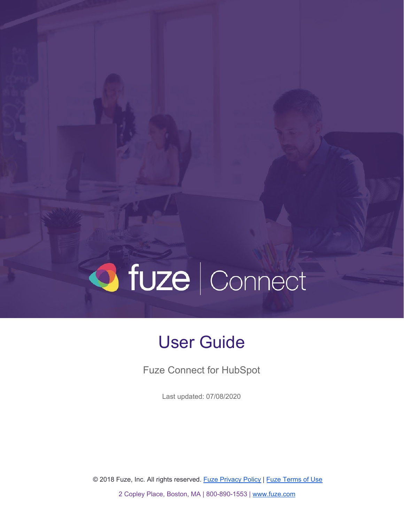# O fuze | Connect

# User Guide

Fuze Connect for HubSpot

Last updated: 07/08/2020

© 2018 Fuze, Inc. All rights reserved. Fuze [Privacy](https://www.fuze.com/fuze-privacy-policy) Policy | Fuze [Terms](https://www.fuze.com/legal) of Use

2 Copley Place, Boston, MA | 800-890-1553 | [www.fuze.com](http://www.fuze.com/)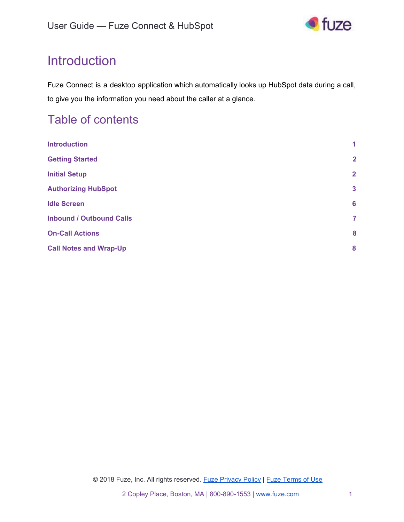

# <span id="page-1-0"></span>**Introduction**

Fuze Connect is a desktop application which automatically looks up HubSpot data during a call, to give you the information you need about the caller at a glance.

### Table of contents

| <b>Introduction</b>             | 1               |
|---------------------------------|-----------------|
| <b>Getting Started</b>          | $\overline{2}$  |
| <b>Initial Setup</b>            | $\overline{2}$  |
| <b>Authorizing HubSpot</b>      | $\mathbf{3}$    |
| <b>Idle Screen</b>              | $6\phantom{1}6$ |
| <b>Inbound / Outbound Calls</b> | $\overline{7}$  |
| <b>On-Call Actions</b>          | 8               |
| <b>Call Notes and Wrap-Up</b>   | 8               |
|                                 |                 |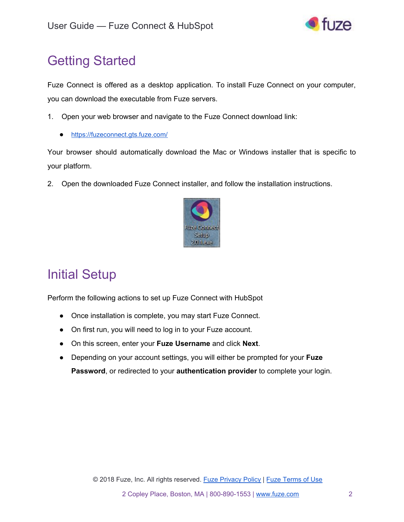

# <span id="page-2-0"></span>Getting Started

Fuze Connect is offered as a desktop application. To install Fuze Connect on your computer, you can download the executable from Fuze servers.

- 1. Open your web browser and navigate to the Fuze Connect download link:
	- <https://fuzeconnect.gts.fuze.com/>

Your browser should automatically download the Mac or Windows installer that is specific to your platform.

2. Open the downloaded Fuze Connect installer, and follow the installation instructions.



# <span id="page-2-1"></span>Initial Setup

Perform the following actions to set up Fuze Connect with HubSpot

- Once installation is complete, you may start Fuze Connect.
- On first run, you will need to log in to your Fuze account.
- On this screen, enter your **Fuze Username** and click **Next**.
- Depending on your account settings, you will either be prompted for your **Fuze Password**, or redirected to your **authentication provider** to complete your login.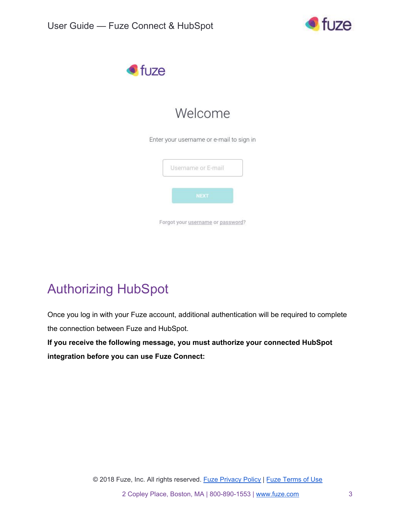



# Welcome

Enter your username or e-mail to sign in

|  | Username or E-mail |  |
|--|--------------------|--|
|  | <b>NEXT</b>        |  |
|  |                    |  |

# <span id="page-3-0"></span>Authorizing HubSpot

Once you log in with your Fuze account, additional authentication will be required to complete the connection between Fuze and HubSpot.

**If you receive the following message, you must authorize your connected HubSpot integration before you can use Fuze Connect:**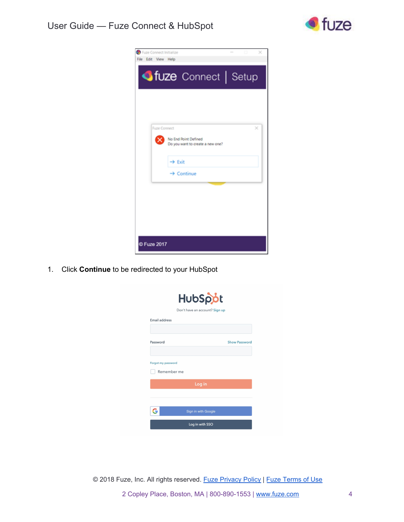

| Fuze Connect Initialize<br>File Edit View Help                                       | × |
|--------------------------------------------------------------------------------------|---|
| <b>ofuze</b> Connect   Setup                                                         |   |
|                                                                                      |   |
|                                                                                      |   |
| <b>Fuze Connect</b><br>No End Point Defined<br>×<br>Do you want to create a new one? | × |
| $\rightarrow$ Exit<br>$\rightarrow$ Continue                                         |   |
|                                                                                      |   |
|                                                                                      |   |
|                                                                                      |   |
| <b>D Fuze 2017</b>                                                                   |   |

1. Click **Continue** to be redirected to your HubSpot

| HubSpot                        |                      |  |  |  |  |
|--------------------------------|----------------------|--|--|--|--|
| Don't have an account? Sign up |                      |  |  |  |  |
| Email address                  |                      |  |  |  |  |
|                                |                      |  |  |  |  |
| Password                       | <b>Show Password</b> |  |  |  |  |
|                                |                      |  |  |  |  |
| Forgot my password             |                      |  |  |  |  |
| Remember me                    |                      |  |  |  |  |
| Log in                         |                      |  |  |  |  |
|                                |                      |  |  |  |  |
|                                |                      |  |  |  |  |
| Sign in with Google            |                      |  |  |  |  |
| Log in with SSO                |                      |  |  |  |  |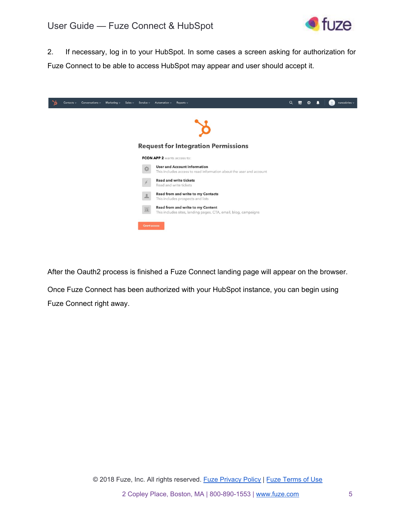

2. If necessary, log in to your HubSpot. In some cases a screen asking for authorization for Fuze Connect to be able to access HubSpot may appear and user should accept it.

|  | Contacts $\sim$ Conversations $\sim$ | Marketing $\sim$ | Sales $\sim$ | Service $\sim$      | Automation $\sim$           | Reports $\sim$                                                                                             | $\alpha$ | 嚮 | ≎ | nunoabrieu ~ |
|--|--------------------------------------|------------------|--------------|---------------------|-----------------------------|------------------------------------------------------------------------------------------------------------|----------|---|---|--------------|
|  |                                      |                  |              |                     |                             |                                                                                                            |          |   |   |              |
|  |                                      |                  |              |                     |                             | <b>Request for Integration Permissions</b>                                                                 |          |   |   |              |
|  |                                      |                  |              |                     | FCON APP 2 wants access to: |                                                                                                            |          |   |   |              |
|  |                                      |                  |              | 烧                   |                             | <b>User and Account Information</b><br>This includes access to read information about the user and account |          |   |   |              |
|  |                                      |                  |              |                     |                             | <b>Read and write tickets</b><br>Read and write tickets                                                    |          |   |   |              |
|  |                                      |                  |              | ÷                   |                             | <b>Read from and write to my Contacts</b><br>This includes prospects and lists                             |          |   |   |              |
|  |                                      |                  |              | 同                   |                             | Read from and write to my Content<br>This includes sites, landing pages, CTA, email, blog, campaigns       |          |   |   |              |
|  |                                      |                  |              | <b>Grant access</b> |                             |                                                                                                            |          |   |   |              |

After the Oauth2 process is finished a Fuze Connect landing page will appear on the browser.

Once Fuze Connect has been authorized with your HubSpot instance, you can begin using Fuze Connect right away.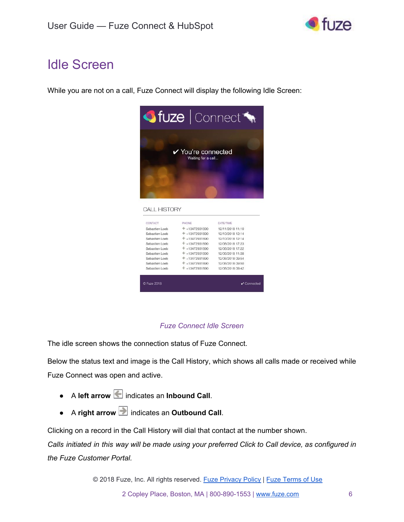

# <span id="page-6-0"></span>Idle Screen

While you are not on a call, Fuze Connect will display the following Idle Screen:



#### *Fuze Connect Idle Screen*

The idle screen shows the connection status of Fuze Connect.

Below the status text and image is the Call History, which shows all calls made or received while Fuze Connect was open and active.

- A **left arrow** indicates an **Inbound Call**.
- A **right arrow** indicates an **Outbound Call**.

Clicking on a record in the Call History will dial that contact at the number shown.

Calls initiated in this way will be made using your preferred Click to Call device, as configured in *the Fuze Customer Portal.*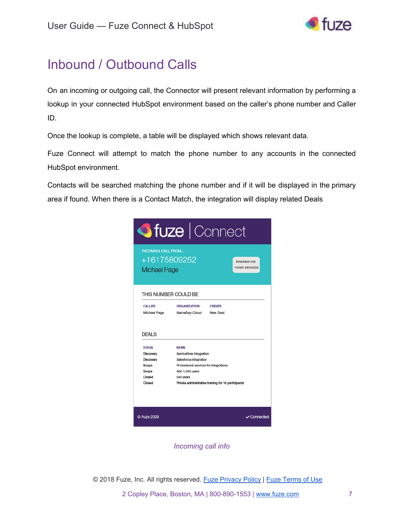

# <span id="page-7-0"></span>Inbound / Outbound Calls

On an incoming or outgoing call, the Connector will present relevant information by performing a lookup in your connected HubSpot environment based on the caller's phone number and Caller ID.

Once the lookup is complete, a table will be displayed which shows relevant data.

Fuze Connect will attempt to match the phone number to any accounts in the connected HubSpot environment.

Contacts will be searched matching the phone number and if it will be displayed in the primary area if found. When there is a Contact Match, the integration will display related Deals

| <b>ofuze</b>   Connect                                                                       |                                                                                                                                                                                                  |                                          |  |  |  |
|----------------------------------------------------------------------------------------------|--------------------------------------------------------------------------------------------------------------------------------------------------------------------------------------------------|------------------------------------------|--|--|--|
| <b>INCOMING CALL FROM</b><br>+16175809252<br><b>Michael Page</b>                             |                                                                                                                                                                                                  | <b>RINGING ON</b><br><b>YOUR DEVICES</b> |  |  |  |
| THIS NUMBER COULD BE<br>CALLER<br>Michael Page                                               | <b>CREATE</b><br><b>ORGANIZATION</b><br>GameDay Cloud<br>New Deal                                                                                                                                |                                          |  |  |  |
| <b>DEALS</b><br><b>STAGE</b><br>Discovery<br>Discovery<br>Scope<br>Scope<br>Closed<br>Closed | <b>NAME</b><br>ServiceNow integration<br>Salesforce integration<br>Professional services for integrations<br>Add 1.000 users<br>500 users<br>Private administrative training for 10 participants |                                          |  |  |  |
| C Fuze 2020                                                                                  |                                                                                                                                                                                                  | ✔ Connected                              |  |  |  |

*Incoming call info*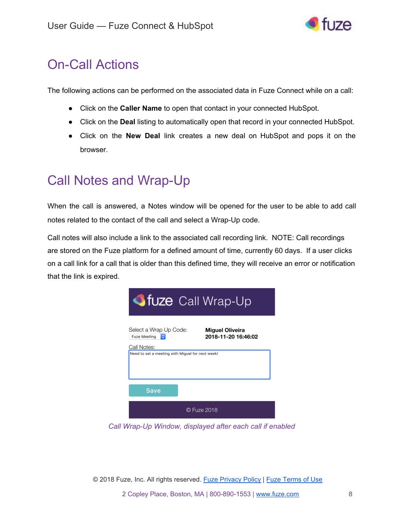

## <span id="page-8-0"></span>On-Call Actions

The following actions can be performed on the associated data in Fuze Connect while on a call:

- Click on the **Caller Name** to open that contact in your connected HubSpot.
- Click on the **Deal** listing to automatically open that record in your connected HubSpot.
- Click on the **New Deal** link creates a new deal on HubSpot and pops it on the browser.

## <span id="page-8-1"></span>Call Notes and Wrap-Up

When the call is answered, a Notes window will be opened for the user to be able to add call notes related to the contact of the call and select a Wrap-Up code.

Call notes will also include a link to the associated call recording link. NOTE: Call recordings are stored on the Fuze platform for a defined amount of time, currently 60 days. If a user clicks on a call link for a call that is older than this defined time, they will receive an error or notification that the link is expired.



*Call Wrap-Up Window, displayed after each call if enabled*